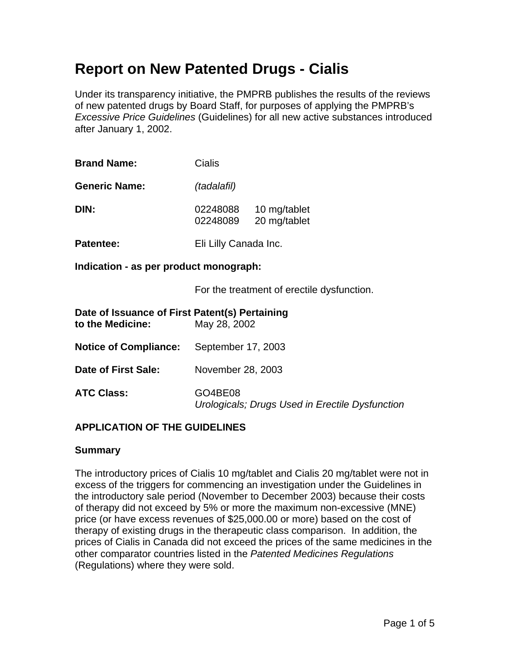# **Report on New Patented Drugs - Cialis**

Under its transparency initiative, the PMPRB publishes the results of the reviews of new patented drugs by Board Staff, for purposes of applying the PMPRB's *Excessive Price Guidelines* (Guidelines) for all new active substances introduced after January 1, 2002.

| <b>Brand Name:</b>   | Cialis               |                              |  |
|----------------------|----------------------|------------------------------|--|
| <b>Generic Name:</b> | (tadalafil)          |                              |  |
| DIN:                 | 02248088<br>02248089 | 10 mg/tablet<br>20 mg/tablet |  |
| <b>Patentee:</b>     |                      | Eli Lilly Canada Inc.        |  |

**Indication - as per product monograph:** 

For the treatment of erectile dysfunction.

| Date of Issuance of First Patent(s) Pertaining<br>to the Medicine: | May 28, 2002                                               |
|--------------------------------------------------------------------|------------------------------------------------------------|
| <b>Notice of Compliance:</b>                                       | September 17, 2003                                         |
| Date of First Sale:                                                | November 28, 2003                                          |
| <b>ATC Class:</b>                                                  | GO4BE08<br>Urologicals; Drugs Used in Erectile Dysfunction |

## **APPLICATION OF THE GUIDELINES**

#### **Summary**

The introductory prices of Cialis 10 mg/tablet and Cialis 20 mg/tablet were not in excess of the triggers for commencing an investigation under the Guidelines in the introductory sale period (November to December 2003) because their costs of therapy did not exceed by 5% or more the maximum non-excessive (MNE) price (or have excess revenues of \$25,000.00 or more) based on the cost of therapy of existing drugs in the therapeutic class comparison. In addition, the prices of Cialis in Canada did not exceed the prices of the same medicines in the other comparator countries listed in the *Patented Medicines Regulations*  (Regulations) where they were sold.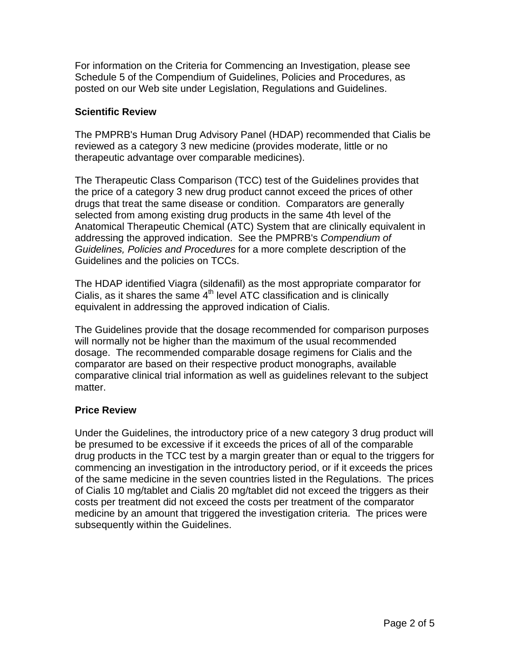For information on the Criteria for Commencing an Investigation, please see Schedule 5 of the Compendium of Guidelines, Policies and Procedures, as posted on our Web site under Legislation, Regulations and Guidelines.

#### **Scientific Review**

The PMPRB's Human Drug Advisory Panel (HDAP) recommended that Cialis be reviewed as a category 3 new medicine (provides moderate, little or no therapeutic advantage over comparable medicines).

The Therapeutic Class Comparison (TCC) test of the Guidelines provides that the price of a category 3 new drug product cannot exceed the prices of other drugs that treat the same disease or condition. Comparators are generally selected from among existing drug products in the same 4th level of the Anatomical Therapeutic Chemical (ATC) System that are clinically equivalent in addressing the approved indication. See the PMPRB's *Compendium of Guidelines, Policies and Procedures* for a more complete description of the Guidelines and the policies on TCCs.

The HDAP identified Viagra (sildenafil) as the most appropriate comparator for Cialis, as it shares the same  $4<sup>th</sup>$  level ATC classification and is clinically equivalent in addressing the approved indication of Cialis.

The Guidelines provide that the dosage recommended for comparison purposes will normally not be higher than the maximum of the usual recommended dosage. The recommended comparable dosage regimens for Cialis and the comparator are based on their respective product monographs, available comparative clinical trial information as well as guidelines relevant to the subject matter.

## **Price Review**

Under the Guidelines, the introductory price of a new category 3 drug product will be presumed to be excessive if it exceeds the prices of all of the comparable drug products in the TCC test by a margin greater than or equal to the triggers for commencing an investigation in the introductory period, or if it exceeds the prices of the same medicine in the seven countries listed in the Regulations. The prices of Cialis 10 mg/tablet and Cialis 20 mg/tablet did not exceed the triggers as their costs per treatment did not exceed the costs per treatment of the comparator medicine by an amount that triggered the investigation criteria. The prices were subsequently within the Guidelines.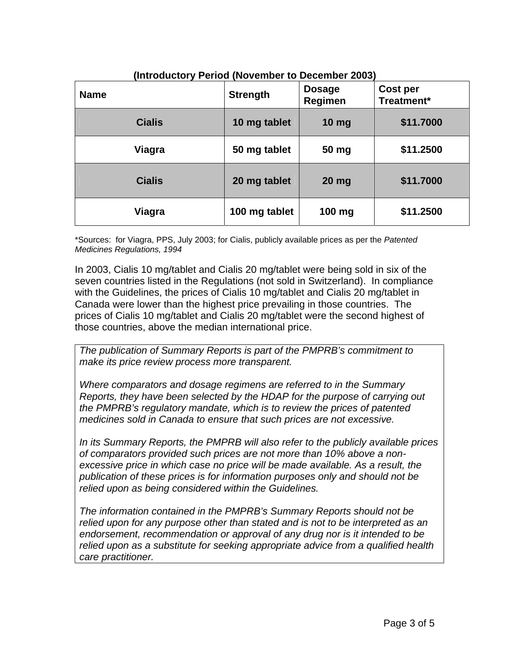| iliuouucioi y Feriou (Novelliber to Deceniber 2003) |                 |                          |                               |
|-----------------------------------------------------|-----------------|--------------------------|-------------------------------|
| <b>Name</b>                                         | <b>Strength</b> | <b>Dosage</b><br>Regimen | <b>Cost per</b><br>Treatment* |
| <b>Cialis</b>                                       | 10 mg tablet    | 10 <sub>mg</sub>         | \$11.7000                     |
| Viagra                                              | 50 mg tablet    | 50 mg                    | \$11.2500                     |
| <b>Cialis</b>                                       | 20 mg tablet    | $20$ mg                  | \$11.7000                     |
| Viagra                                              | 100 mg tablet   | 100 mg                   | \$11.2500                     |

**(Introductory Period (November to December 2003)** 

\*Sources: for Viagra, PPS, July 2003; for Cialis, publicly available prices as per the *Patented Medicines Regulations, 1994*

In 2003, Cialis 10 mg/tablet and Cialis 20 mg/tablet were being sold in six of the seven countries listed in the Regulations (not sold in Switzerland). In compliance with the Guidelines, the prices of Cialis 10 mg/tablet and Cialis 20 mg/tablet in Canada were lower than the highest price prevailing in those countries. The prices of Cialis 10 mg/tablet and Cialis 20 mg/tablet were the second highest of those countries, above the median international price.

*The publication of Summary Reports is part of the PMPRB's commitment to make its price review process more transparent.* 

*Where comparators and dosage regimens are referred to in the Summary Reports, they have been selected by the HDAP for the purpose of carrying out the PMPRB's regulatory mandate, which is to review the prices of patented medicines sold in Canada to ensure that such prices are not excessive.* 

*In its Summary Reports, the PMPRB will also refer to the publicly available prices of comparators provided such prices are not more than 10% above a nonexcessive price in which case no price will be made available. As a result, the publication of these prices is for information purposes only and should not be relied upon as being considered within the Guidelines.* 

*The information contained in the PMPRB's Summary Reports should not be relied upon for any purpose other than stated and is not to be interpreted as an endorsement, recommendation or approval of any drug nor is it intended to be relied upon as a substitute for seeking appropriate advice from a qualified health care practitioner.*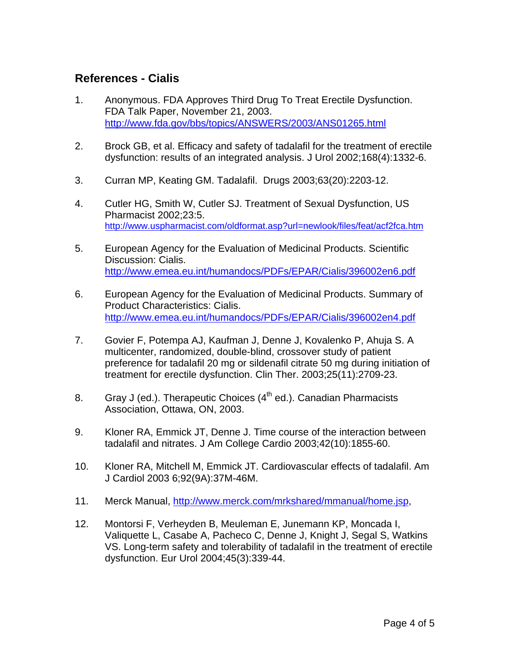# **References - Cialis**

- 1. Anonymous. FDA Approves Third Drug To Treat Erectile Dysfunction. FDA Talk Paper, November 21, 2003. http://www.fda.gov/bbs/topics/ANSWERS/2003/ANS01265.html
- 2. Brock GB, et al. Efficacy and safety of tadalafil for the treatment of erectile dysfunction: results of an integrated analysis. J Urol 2002;168(4):1332-6.
- 3. Curran MP, Keating GM. Tadalafil. Drugs 2003;63(20):2203-12.
- 4. Cutler HG, Smith W, Cutler SJ. Treatment of Sexual Dysfunction, US Pharmacist 2002;23:5. http://www.uspharmacist.com/oldformat.asp?url=newlook/files/feat/acf2fca.htm
- 5. European Agency for the Evaluation of Medicinal Products. Scientific Discussion: Cialis. http://www.emea.eu.int/humandocs/PDFs/EPAR/Cialis/396002en6.pdf
- 6. European Agency for the Evaluation of Medicinal Products. Summary of Product Characteristics: Cialis. http://www.emea.eu.int/humandocs/PDFs/EPAR/Cialis/396002en4.pdf
- 7. Govier F, Potempa AJ, Kaufman J, Denne J, Kovalenko P, Ahuja S. A multicenter, randomized, double-blind, crossover study of patient preference for tadalafil 20 mg or sildenafil citrate 50 mg during initiation of treatment for erectile dysfunction. Clin Ther. 2003;25(11):2709-23.
- 8. Gray J (ed.). Therapeutic Choices  $(4^{th}$  ed.). Canadian Pharmacists Association, Ottawa, ON, 2003.
- 9. Kloner RA, Emmick JT, Denne J. Time course of the interaction between tadalafil and nitrates. J Am College Cardio 2003;42(10):1855-60.
- 10. Kloner RA, Mitchell M, Emmick JT. Cardiovascular effects of tadalafil. Am J Cardiol 2003 6;92(9A):37M-46M.
- 11. Merck Manual, http://www.merck.com/mrkshared/mmanual/home.jsp,
- 12. Montorsi F, Verheyden B, Meuleman E, Junemann KP, Moncada I, Valiquette L, Casabe A, Pacheco C, Denne J, Knight J, Segal S, Watkins VS. Long-term safety and tolerability of tadalafil in the treatment of erectile dysfunction. Eur Urol 2004;45(3):339-44.